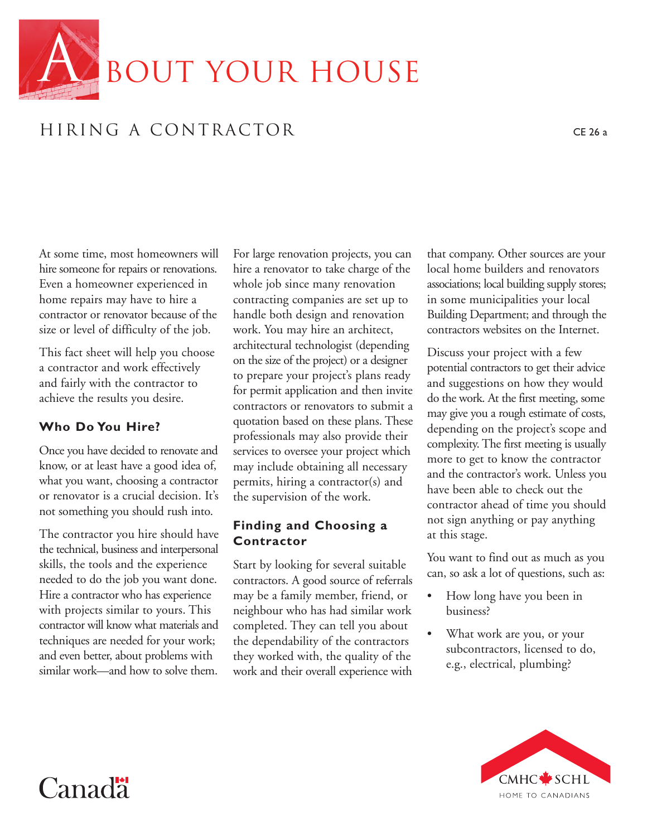

# HIRING A CONTRACTOR CE 26 a

At some time, most homeowners will hire someone for repairs or renovations. Even a homeowner experienced in home repairs may have to hire a contractor or renovator because of the size or level of difficulty of the job.

This fact sheet will help you choose a contractor and work effectively and fairly with the contractor to achieve the results you desire.

### **Who Do You Hire?**

Once you have decided to renovate and know, or at least have a good idea of, what you want, choosing a contractor or renovator is a crucial decision. It's not something you should rush into.

The contractor you hire should have the technical, business and interpersonal skills, the tools and the experience needed to do the job you want done. Hire a contractor who has experience with projects similar to yours. This contractor will know what materials and techniques are needed for your work; and even better, about problems with similar work—and how to solve them.

For large renovation projects, you can hire a renovator to take charge of the whole job since many renovation contracting companies are set up to handle both design and renovation work. You may hire an architect, architectural technologist (depending on the size of the project) or a designer to prepare your project's plans ready for permit application and then invite contractors or renovators to submit a quotation based on these plans. These professionals may also provide their services to oversee your project which may include obtaining all necessary permits, hiring a contractor(s) and the supervision of the work.

#### **Finding and Choosing a Contractor**

Start by looking for several suitable contractors. A good source of referrals may be a family member, friend, or neighbour who has had similar work completed. They can tell you about the dependability of the contractors they worked with, the quality of the work and their overall experience with that company. Other sources are your local home builders and renovators associations; local building supply stores; in some municipalities your local Building Department; and through the contractors websites on the Internet.

Discuss your project with a few potential contractors to get their advice and suggestions on how they would do the work. At the first meeting, some may give you a rough estimate of costs, depending on the project's scope and complexity. The first meeting is usually more to get to know the contractor and the contractor's work. Unless you have been able to check out the contractor ahead of time you should not sign anything or pay anything at this stage.

You want to find out as much as you can, so ask a lot of questions, such as:

- How long have you been in business?
- What work are you, or your subcontractors, licensed to do, e.g., electrical, plumbing?



# Canad<sup>"</sup>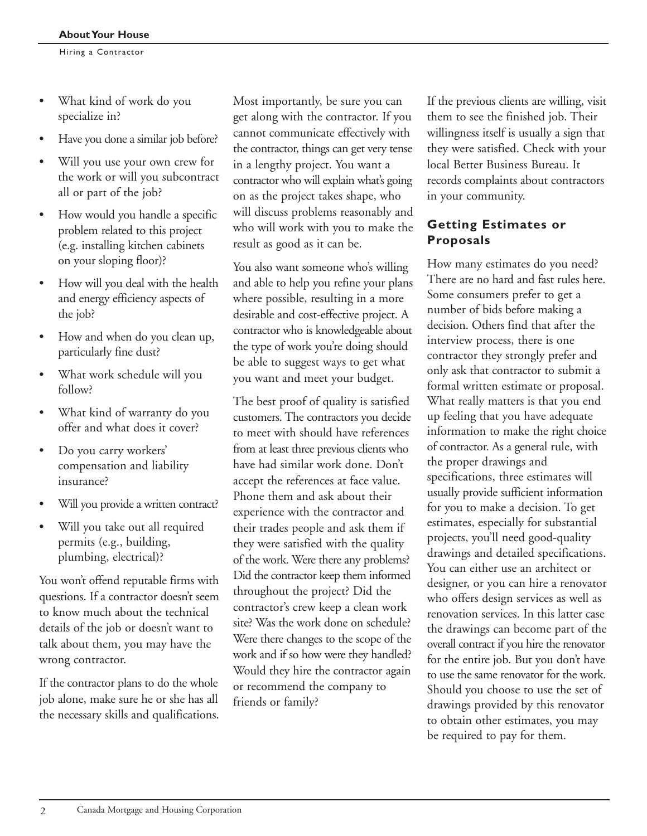- What kind of work do you specialize in?
- Have you done a similar job before?
- Will you use your own crew for the work or will you subcontract all or part of the job?
- How would you handle a specific problem related to this project (e.g. installing kitchen cabinets on your sloping floor)?
- How will you deal with the health and energy efficiency aspects of the job?
- How and when do you clean up, particularly fine dust?
- What work schedule will you follow?
- What kind of warranty do you offer and what does it cover?
- Do you carry workers' compensation and liability insurance?
- Will you provide a written contract?
- Will you take out all required permits (e.g., building, plumbing, electrical)?

You won't offend reputable firms with questions. If a contractor doesn't seem to know much about the technical details of the job or doesn't want to talk about them, you may have the wrong contractor.

If the contractor plans to do the whole job alone, make sure he or she has all the necessary skills and qualifications. Most importantly, be sure you can get along with the contractor. If you cannot communicate effectively with the contractor, things can get very tense in a lengthy project. You want a contractor who will explain what's going on as the project takes shape, who will discuss problems reasonably and who will work with you to make the result as good as it can be.

You also want someone who's willing and able to help you refine your plans where possible, resulting in a more desirable and cost-effective project. A contractor who is knowledgeable about the type of work you're doing should be able to suggest ways to get what you want and meet your budget.

The best proof of quality is satisfied customers. The contractors you decide to meet with should have references from at least three previous clients who have had similar work done. Don't accept the references at face value. Phone them and ask about their experience with the contractor and their trades people and ask them if they were satisfied with the quality of the work. Were there any problems? Did the contractor keep them informed throughout the project? Did the contractor's crew keep a clean work site? Was the work done on schedule? Were there changes to the scope of the work and if so how were they handled? Would they hire the contractor again or recommend the company to friends or family?

If the previous clients are willing, visit them to see the finished job. Their willingness itself is usually a sign that they were satisfied. Check with your local Better Business Bureau. It records complaints about contractors in your community.

## **Getting Estimates or Proposals**

How many estimates do you need? There are no hard and fast rules here. Some consumers prefer to get a number of bids before making a decision. Others find that after the interview process, there is one contractor they strongly prefer and only ask that contractor to submit a formal written estimate or proposal. What really matters is that you end up feeling that you have adequate information to make the right choice of contractor. As a general rule, with the proper drawings and specifications, three estimates will usually provide sufficient information for you to make a decision. To get estimates, especially for substantial projects, you'll need good-quality drawings and detailed specifications. You can either use an architect or designer, or you can hire a renovator who offers design services as well as renovation services. In this latter case the drawings can become part of the overall contract if you hire the renovator for the entire job. But you don't have to use the same renovator for the work. Should you choose to use the set of drawings provided by this renovator to obtain other estimates, you may be required to pay for them.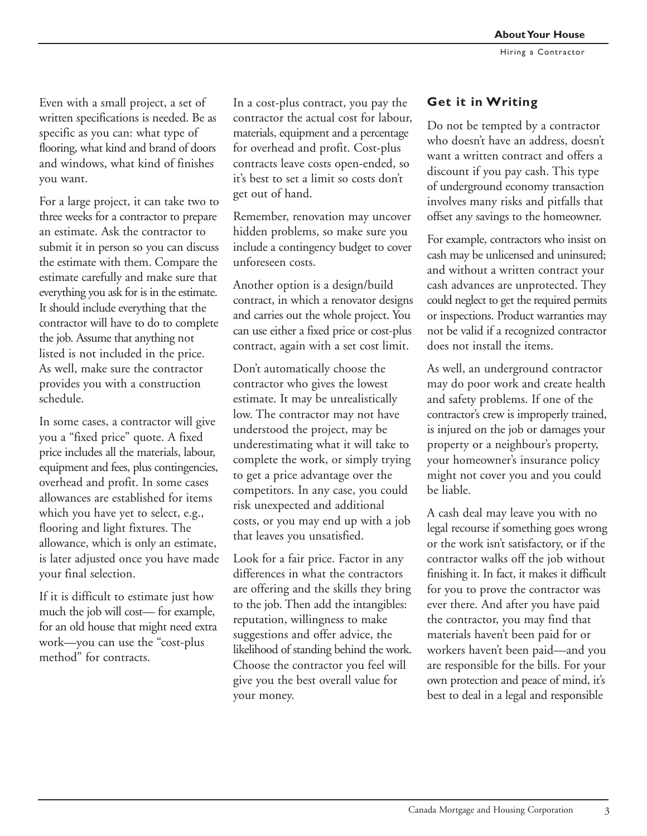Even with a small project, a set of written specifications is needed. Be as specific as you can: what type of flooring, what kind and brand of doors and windows, what kind of finishes you want.

For a large project, it can take two to three weeks for a contractor to prepare an estimate. Ask the contractor to submit it in person so you can discuss the estimate with them. Compare the estimate carefully and make sure that everything you ask for is in the estimate. It should include everything that the contractor will have to do to complete the job. Assume that anything not listed is not included in the price. As well, make sure the contractor provides you with a construction schedule.

In some cases, a contractor will give you a "fixed price" quote. A fixed price includes all the materials, labour, equipment and fees, plus contingencies, overhead and profit. In some cases allowances are established for items which you have yet to select, e.g., flooring and light fixtures. The allowance, which is only an estimate, is later adjusted once you have made your final selection.

If it is difficult to estimate just how much the job will cost— for example, for an old house that might need extra work—you can use the "cost-plus method" for contracts.

In a cost-plus contract, you pay the contractor the actual cost for labour, materials, equipment and a percentage for overhead and profit. Cost-plus contracts leave costs open-ended, so it's best to set a limit so costs don't get out of hand.

Remember, renovation may uncover hidden problems, so make sure you include a contingency budget to cover unforeseen costs.

Another option is a design/build contract, in which a renovator designs and carries out the whole project. You can use either a fixed price or cost-plus contract, again with a set cost limit.

Don't automatically choose the contractor who gives the lowest estimate. It may be unrealistically low. The contractor may not have understood the project, may be underestimating what it will take to complete the work, or simply trying to get a price advantage over the competitors. In any case, you could risk unexpected and additional costs, or you may end up with a job that leaves you unsatisfied.

Look for a fair price. Factor in any differences in what the contractors are offering and the skills they bring to the job. Then add the intangibles: reputation, willingness to make suggestions and offer advice, the likelihood of standing behind the work. Choose the contractor you feel will give you the best overall value for your money.

# **Get it in Writing**

Do not be tempted by a contractor who doesn't have an address, doesn't want a written contract and offers a discount if you pay cash. This type of underground economy transaction involves many risks and pitfalls that offset any savings to the homeowner.

For example, contractors who insist on cash may be unlicensed and uninsured; and without a written contract your cash advances are unprotected. They could neglect to get the required permits or inspections. Product warranties may not be valid if a recognized contractor does not install the items.

As well, an underground contractor may do poor work and create health and safety problems. If one of the contractor's crew is improperly trained, is injured on the job or damages your property or a neighbour's property, your homeowner's insurance policy might not cover you and you could be liable.

A cash deal may leave you with no legal recourse if something goes wrong or the work isn't satisfactory, or if the contractor walks off the job without finishing it. In fact, it makes it difficult for you to prove the contractor was ever there. And after you have paid the contractor, you may find that materials haven't been paid for or workers haven't been paid—and you are responsible for the bills. For your own protection and peace of mind, it's best to deal in a legal and responsible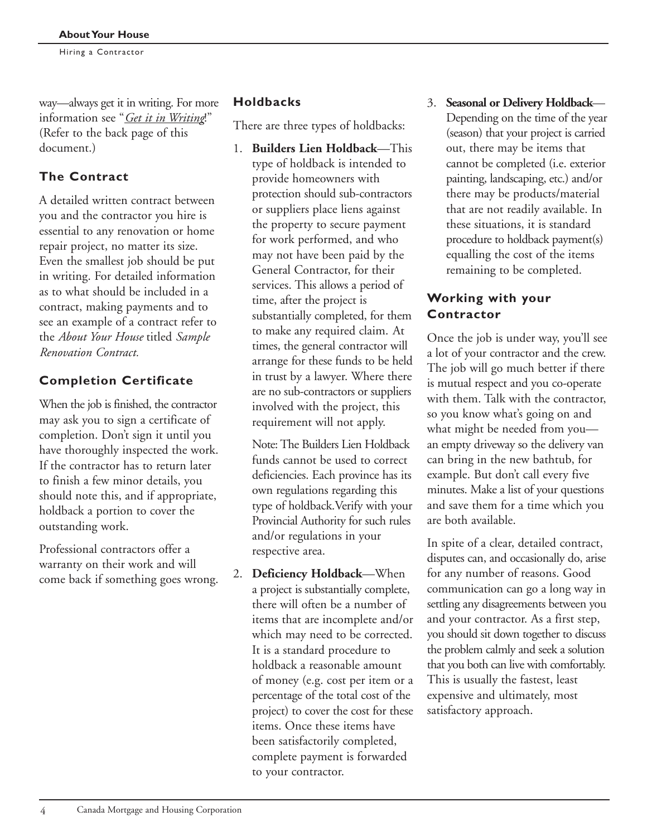way—always get it in writing. For more information see "*Get it in Writing*!" (Refer to the back page of this document.)

# **The Contract**

A detailed written contract between you and the contractor you hire is essential to any renovation or home repair project, no matter its size. Even the smallest job should be put in writing. For detailed information as to what should be included in a contract, making payments and to see an example of a contract refer to the *About Your House* titled *Sample Renovation Contract.*

# **Completion Certificate**

When the job is finished, the contractor may ask you to sign a certificate of completion. Don't sign it until you have thoroughly inspected the work. If the contractor has to return later to finish a few minor details, you should note this, and if appropriate, holdback a portion to cover the outstanding work.

Professional contractors offer a warranty on their work and will come back if something goes wrong.

# **Holdbacks**

There are three types of holdbacks:

1. **Builders Lien Holdback**—This type of holdback is intended to provide homeowners with protection should sub-contractors or suppliers place liens against the property to secure payment for work performed, and who may not have been paid by the General Contractor, for their services. This allows a period of time, after the project is substantially completed, for them to make any required claim. At times, the general contractor will arrange for these funds to be held in trust by a lawyer. Where there are no sub-contractors or suppliers involved with the project, this requirement will not apply.

Note: The Builders Lien Holdback funds cannot be used to correct deficiencies. Each province has its own regulations regarding this type of holdback.Verify with your Provincial Authority for such rules and/or regulations in your respective area.

2. **Deficiency Holdback**—When a project is substantially complete, there will often be a number of items that are incomplete and/or which may need to be corrected. It is a standard procedure to holdback a reasonable amount of money (e.g. cost per item or a percentage of the total cost of the project) to cover the cost for these items. Once these items have been satisfactorily completed, complete payment is forwarded to your contractor.

3. **Seasonal or Delivery Holdback**— Depending on the time of the year (season) that your project is carried out, there may be items that cannot be completed (i.e. exterior painting, landscaping, etc.) and/or there may be products/material that are not readily available. In these situations, it is standard procedure to holdback payment(s) equalling the cost of the items remaining to be completed.

#### **Working with your Contractor**

Once the job is under way, you'll see a lot of your contractor and the crew. The job will go much better if there is mutual respect and you co-operate with them. Talk with the contractor, so you know what's going on and what might be needed from you an empty driveway so the delivery van can bring in the new bathtub, for example. But don't call every five minutes. Make a list of your questions and save them for a time which you are both available.

In spite of a clear, detailed contract, disputes can, and occasionally do, arise for any number of reasons. Good communication can go a long way in settling any disagreements between you and your contractor. As a first step, you should sit down together to discuss the problem calmly and seek a solution that you both can live with comfortably. This is usually the fastest, least expensive and ultimately, most satisfactory approach.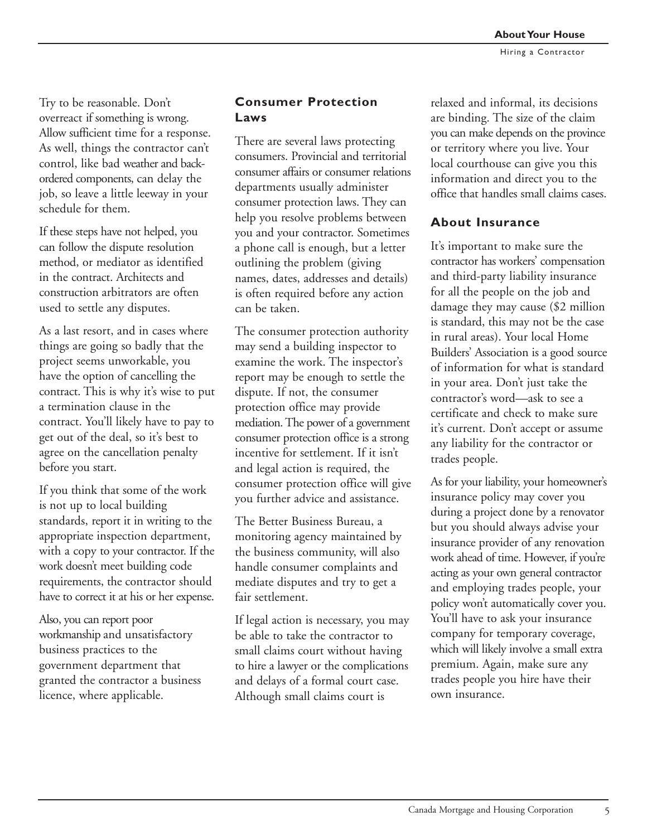Try to be reasonable. Don't overreact if something is wrong. Allow sufficient time for a response. As well, things the contractor can't control, like bad weather and backordered components, can delay the job, so leave a little leeway in your schedule for them.

If these steps have not helped, you can follow the dispute resolution method, or mediator as identified in the contract. Architects and construction arbitrators are often used to settle any disputes.

As a last resort, and in cases where things are going so badly that the project seems unworkable, you have the option of cancelling the contract. This is why it's wise to put a termination clause in the contract. You'll likely have to pay to get out of the deal, so it's best to agree on the cancellation penalty before you start.

If you think that some of the work is not up to local building standards, report it in writing to the appropriate inspection department, with a copy to your contractor. If the work doesn't meet building code requirements, the contractor should have to correct it at his or her expense.

Also, you can report poor workmanship and unsatisfactory business practices to the government department that granted the contractor a business licence, where applicable.

#### **Consumer Protection Laws**

There are several laws protecting consumers. Provincial and territorial consumer affairs or consumer relations departments usually administer consumer protection laws. They can help you resolve problems between you and your contractor. Sometimes a phone call is enough, but a letter outlining the problem (giving names, dates, addresses and details) is often required before any action can be taken.

The consumer protection authority may send a building inspector to examine the work. The inspector's report may be enough to settle the dispute. If not, the consumer protection office may provide mediation. The power of a government consumer protection office is a strong incentive for settlement. If it isn't and legal action is required, the consumer protection office will give you further advice and assistance.

The Better Business Bureau, a monitoring agency maintained by the business community, will also handle consumer complaints and mediate disputes and try to get a fair settlement.

If legal action is necessary, you may be able to take the contractor to small claims court without having to hire a lawyer or the complications and delays of a formal court case. Although small claims court is

relaxed and informal, its decisions are binding. The size of the claim you can make depends on the province or territory where you live. Your local courthouse can give you this information and direct you to the office that handles small claims cases.

#### **About Insurance**

It's important to make sure the contractor has workers' compensation and third-party liability insurance for all the people on the job and damage they may cause (\$2 million is standard, this may not be the case in rural areas). Your local Home Builders' Association is a good source of information for what is standard in your area. Don't just take the contractor's word—ask to see a certificate and check to make sure it's current. Don't accept or assume any liability for the contractor or trades people.

As for your liability, your homeowner's insurance policy may cover you during a project done by a renovator but you should always advise your insurance provider of any renovation work ahead of time. However, if you're acting as your own general contractor and employing trades people, your policy won't automatically cover you. You'll have to ask your insurance company for temporary coverage, which will likely involve a small extra premium. Again, make sure any trades people you hire have their own insurance.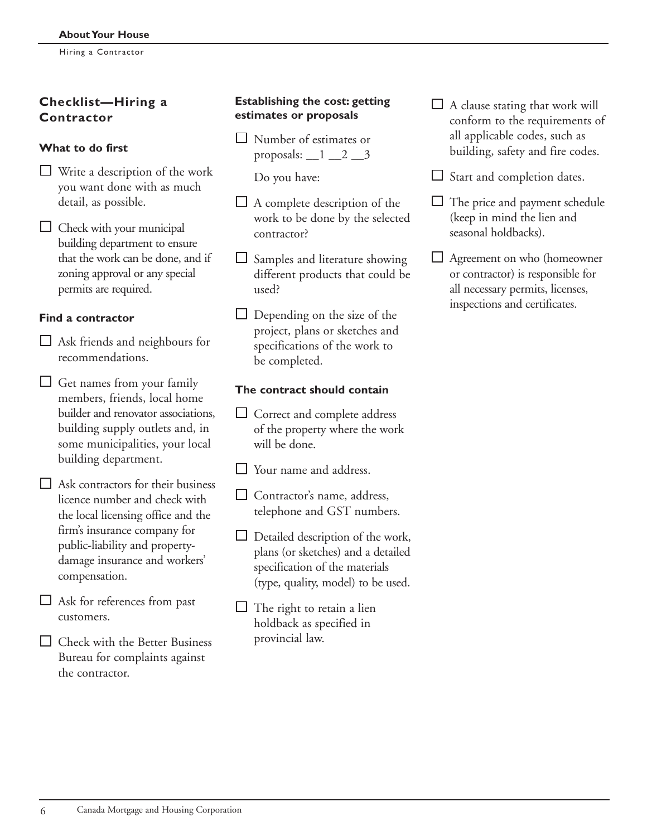### **Checklist—Hiring a Contractor**

#### **What to do first**

- Write a description of the work you want done with as much detail, as possible.
- $\Box$  Check with your municipal building department to ensure that the work can be done, and if zoning approval or any special permits are required.

#### **Find a contractor**

- $\Box$  Ask friends and neighbours for recommendations.
- $\Box$  Get names from your family members, friends, local home builder and renovator associations, building supply outlets and, in some municipalities, your local building department.
- $\Box$  Ask contractors for their business licence number and check with the local licensing office and the firm's insurance company for public-liability and propertydamage insurance and workers' compensation.
- Ask for references from past customers.
- $\Box$  Check with the Better Business Bureau for complaints against the contractor.

#### **Establishing the cost: getting estimates or proposals**

- □ Number of estimates or proposals:  $\begin{array}{c} 1 \\ -2 \\ -3 \end{array}$ 
	- Do you have:
- $\Box$  A complete description of the work to be done by the selected contractor?
- $\Box$  Samples and literature showing different products that could be used?
- $\Box$  Depending on the size of the project, plans or sketches and specifications of the work to be completed.

#### **The contract should contain**

- $\Box$  Correct and complete address of the property where the work will be done.
- $\Box$  Your name and address.
- $\Box$  Contractor's name, address, telephone and GST numbers.
- $\Box$  Detailed description of the work, plans (or sketches) and a detailed specification of the materials (type, quality, model) to be used.
- $\Box$  The right to retain a lien holdback as specified in provincial law.
- $\Box$  A clause stating that work will conform to the requirements of all applicable codes, such as building, safety and fire codes.
- $\Box$  Start and completion dates.
- The price and payment schedule (keep in mind the lien and seasonal holdbacks).
- Agreement on who (homeowner or contractor) is responsible for all necessary permits, licenses, inspections and certificates.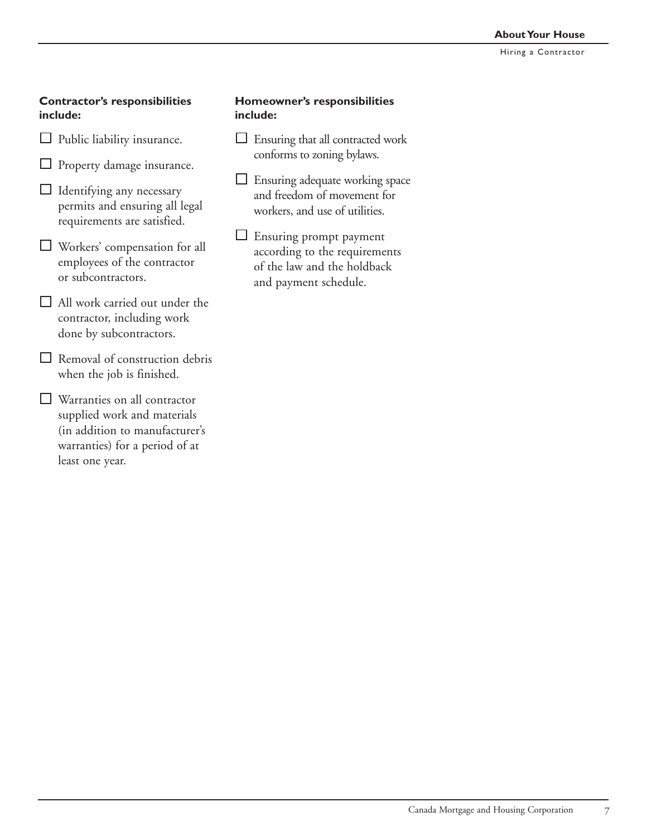#### **Contractor's responsibilities include:**

- $\Box$  Public liability insurance.
- **L** Property damage insurance.
- $\Box$  Identifying any necessary permits and ensuring all legal requirements are satisfied.
- Workers' compensation for all employees of the contractor or subcontractors.
- $\Box$  All work carried out under the contractor, including work done by subcontractors.
- $\Box$  Removal of construction debris when the job is finished.
- **Warranties on all contractor** supplied work and materials (in addition to manufacturer's warranties) for a period of at least one year.

#### **Homeowner's responsibilities include:**

- $\Box$  Ensuring that all contracted work conforms to zoning bylaws.
- $\Box$  Ensuring adequate working space and freedom of movement for workers, and use of utilities.
- Ensuring prompt payment according to the requirements of the law and the holdback and payment schedule.